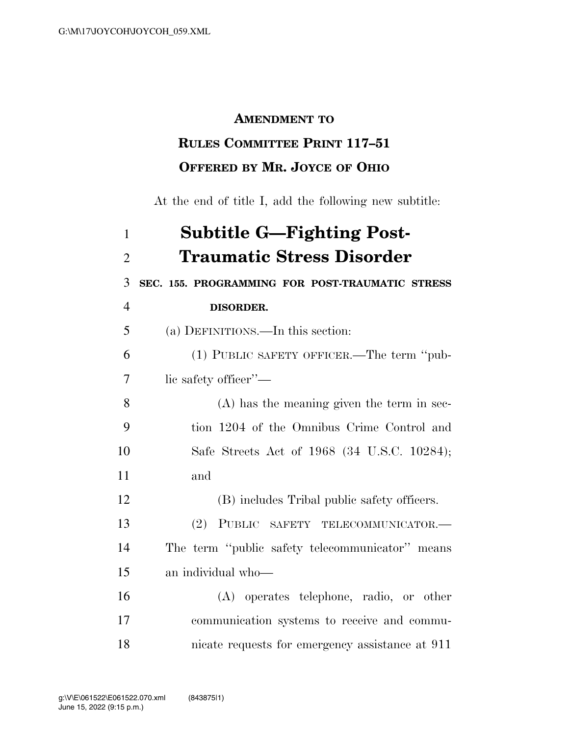## **AMENDMENT TO**

## **RULES COMMITTEE PRINT 117–51 OFFERED BY MR. JOYCE OF OHIO**

At the end of title I, add the following new subtitle:

| $\mathbf{1}$   | <b>Subtitle G-Fighting Post-</b>                |
|----------------|-------------------------------------------------|
| $\overline{2}$ | <b>Traumatic Stress Disorder</b>                |
| 3              | SEC. 155. PROGRAMMING FOR POST-TRAUMATIC STRESS |
| $\overline{4}$ | DISORDER.                                       |
| 5              | (a) DEFINITIONS.—In this section:               |
| 6              | (1) PUBLIC SAFETY OFFICER.—The term "pub-       |
| 7              | lic safety officer"—                            |
| 8              | $(A)$ has the meaning given the term in sec-    |
| 9              | tion 1204 of the Omnibus Crime Control and      |
| 10             | Safe Streets Act of 1968 (34 U.S.C. 10284);     |
| 11             | and                                             |
| 12             | (B) includes Tribal public safety officers.     |
| 13             | (2)<br>PUBLIC SAFETY TELECOMMUNICATOR.-         |
| 14             | The term "public safety telecommunicator" means |
| 15             | an individual who-                              |
| 16             | (A) operates telephone, radio, or other         |
| 17             | communication systems to receive and commu-     |
| 18             | nicate requests for emergency assistance at 911 |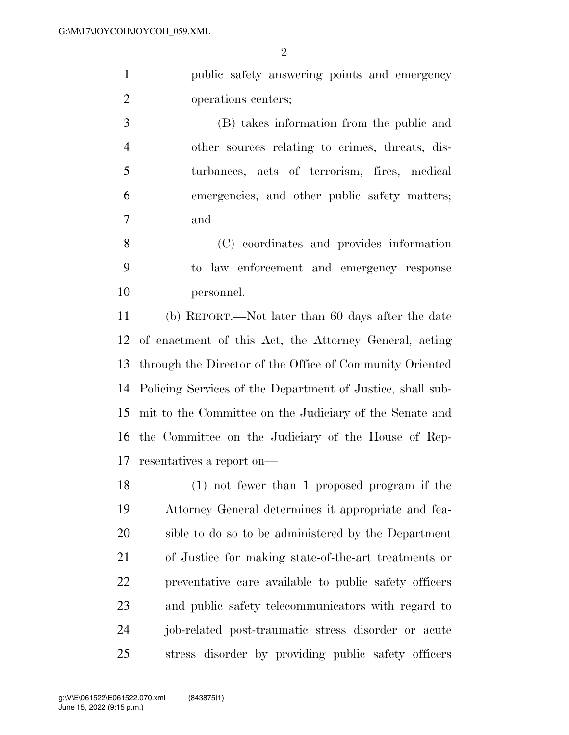$\mathfrak{D}$ 

 public safety answering points and emergency operations centers;

 (B) takes information from the public and other sources relating to crimes, threats, dis- turbances, acts of terrorism, fires, medical emergencies, and other public safety matters; and

 (C) coordinates and provides information to law enforcement and emergency response personnel.

 (b) REPORT.—Not later than 60 days after the date of enactment of this Act, the Attorney General, acting through the Director of the Office of Community Oriented Policing Services of the Department of Justice, shall sub- mit to the Committee on the Judiciary of the Senate and the Committee on the Judiciary of the House of Rep-resentatives a report on—

 (1) not fewer than 1 proposed program if the Attorney General determines it appropriate and fea- sible to do so to be administered by the Department of Justice for making state-of-the-art treatments or preventative care available to public safety officers and public safety telecommunicators with regard to job-related post-traumatic stress disorder or acute stress disorder by providing public safety officers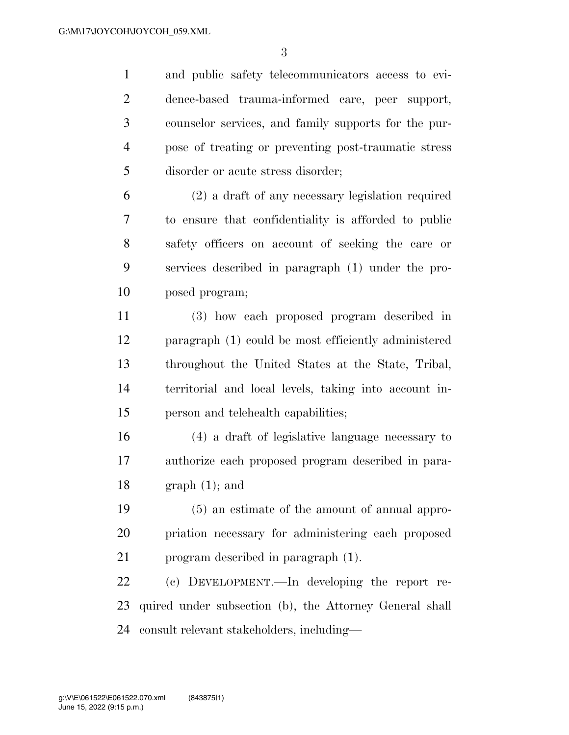and public safety telecommunicators access to evi- dence-based trauma-informed care, peer support, counselor services, and family supports for the pur- pose of treating or preventing post-traumatic stress disorder or acute stress disorder;

 (2) a draft of any necessary legislation required to ensure that confidentiality is afforded to public safety officers on account of seeking the care or services described in paragraph (1) under the pro-posed program;

 (3) how each proposed program described in paragraph (1) could be most efficiently administered throughout the United States at the State, Tribal, territorial and local levels, taking into account in-person and telehealth capabilities;

 (4) a draft of legislative language necessary to authorize each proposed program described in para-18 graph  $(1)$ ; and

 (5) an estimate of the amount of annual appro- priation necessary for administering each proposed program described in paragraph (1).

 (c) DEVELOPMENT.—In developing the report re- quired under subsection (b), the Attorney General shall consult relevant stakeholders, including